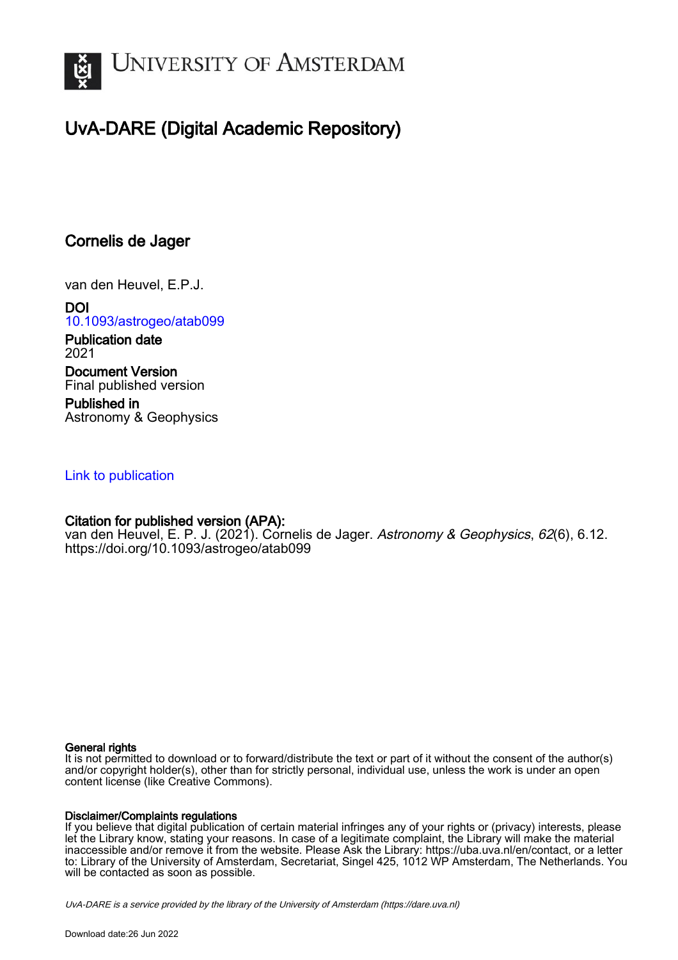

# UvA-DARE (Digital Academic Repository)

# Cornelis de Jager

van den Heuvel, E.P.J.

DOI [10.1093/astrogeo/atab099](https://doi.org/10.1093/astrogeo/atab099) Publication date 2021

Document Version Final published version

Published in Astronomy & Geophysics

## [Link to publication](https://dare.uva.nl/personal/pure/en/publications/cornelis-de-jager(06e6517a-dce1-4c49-936f-e21233e68110).html)

### Citation for published version (APA):

van den Heuvel, E. P. J. (2021). Cornelis de Jager. Astronomy & Geophysics, 62(6), 6.12. <https://doi.org/10.1093/astrogeo/atab099>

#### General rights

It is not permitted to download or to forward/distribute the text or part of it without the consent of the author(s) and/or copyright holder(s), other than for strictly personal, individual use, unless the work is under an open content license (like Creative Commons).

#### Disclaimer/Complaints regulations

If you believe that digital publication of certain material infringes any of your rights or (privacy) interests, please let the Library know, stating your reasons. In case of a legitimate complaint, the Library will make the material inaccessible and/or remove it from the website. Please Ask the Library: https://uba.uva.nl/en/contact, or a letter to: Library of the University of Amsterdam, Secretariat, Singel 425, 1012 WP Amsterdam, The Netherlands. You will be contacted as soon as possible.

UvA-DARE is a service provided by the library of the University of Amsterdam (http*s*://dare.uva.nl)